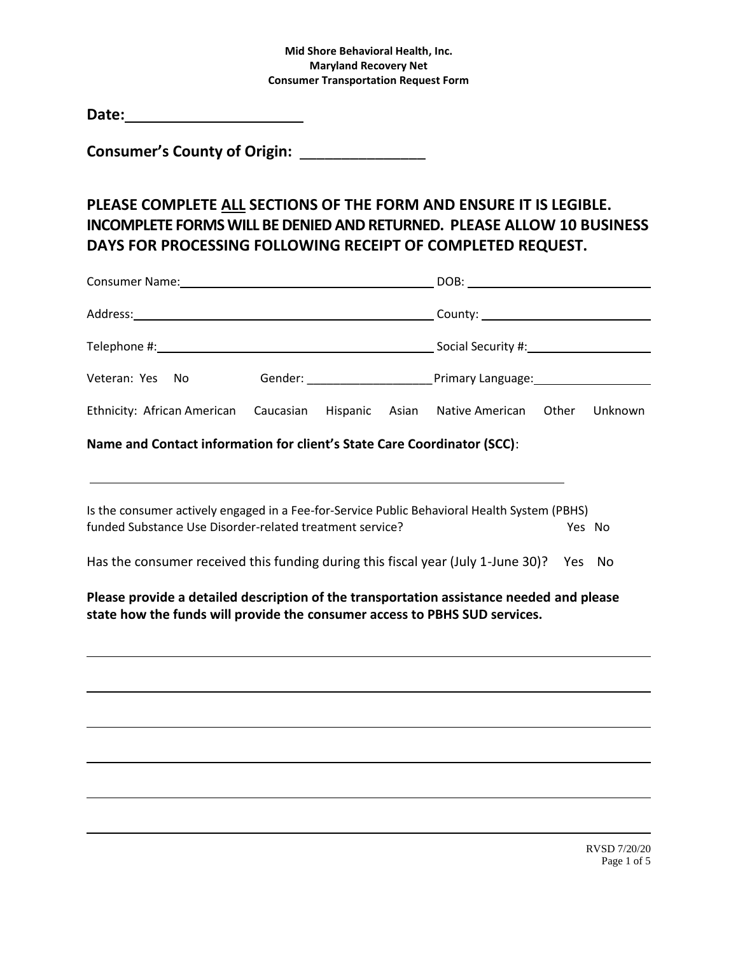**Consumer's County of Origin:** \_\_\_\_\_\_\_\_\_\_\_\_\_\_\_

# **PLEASE COMPLETE ALL SECTIONS OF THE FORM AND ENSURE IT IS LEGIBLE. INCOMPLETE FORMS WILL BE DENIED AND RETURNED. PLEASE ALLOW 10 BUSINESS DAYS FOR PROCESSING FOLLOWING RECEIPT OF COMPLETED REQUEST.**

|                                                      |                                |  | DOB: _________________________ |  |         |
|------------------------------------------------------|--------------------------------|--|--------------------------------|--|---------|
|                                                      |                                |  |                                |  |         |
|                                                      |                                |  |                                |  |         |
| Veteran: Yes<br>- No                                 | Gender: ______________________ |  |                                |  |         |
| Ethnicity: African American Caucasian Hispanic Asian |                                |  | Native American Other          |  | Unknown |

**Name and Contact information for client's State Care Coordinator (SCC)**:

Is the consumer actively engaged in a Fee-for-Service Public Behavioral Health System (PBHS) funded Substance Use Disorder-related treatment service? The Manuscription of the Ves No

Has the consumer received this funding during this fiscal year (July 1-June 30)? Yes No

**Please provide a detailed description of the transportation assistance needed and please state how the funds will provide the consumer access to PBHS SUD services.**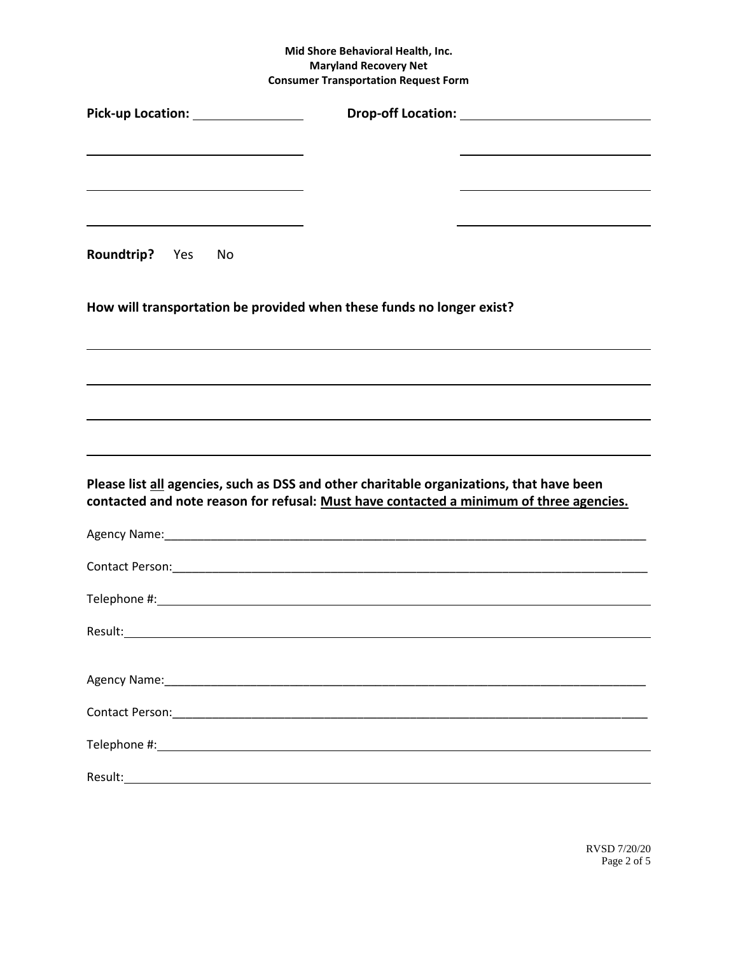| Pick-up Location: Network of Pick-up                                                                                                                                                |  |
|-------------------------------------------------------------------------------------------------------------------------------------------------------------------------------------|--|
|                                                                                                                                                                                     |  |
| <u> 1989 - Johann Barn, amerikansk politiker (d. 1989)</u>                                                                                                                          |  |
| Roundtrip? Yes No                                                                                                                                                                   |  |
| How will transportation be provided when these funds no longer exist?                                                                                                               |  |
|                                                                                                                                                                                     |  |
|                                                                                                                                                                                     |  |
|                                                                                                                                                                                     |  |
| Please list all agencies, such as DSS and other charitable organizations, that have been<br>contacted and note reason for refusal: Must have contacted a minimum of three agencies. |  |
|                                                                                                                                                                                     |  |
|                                                                                                                                                                                     |  |
|                                                                                                                                                                                     |  |
|                                                                                                                                                                                     |  |
|                                                                                                                                                                                     |  |
|                                                                                                                                                                                     |  |
|                                                                                                                                                                                     |  |
|                                                                                                                                                                                     |  |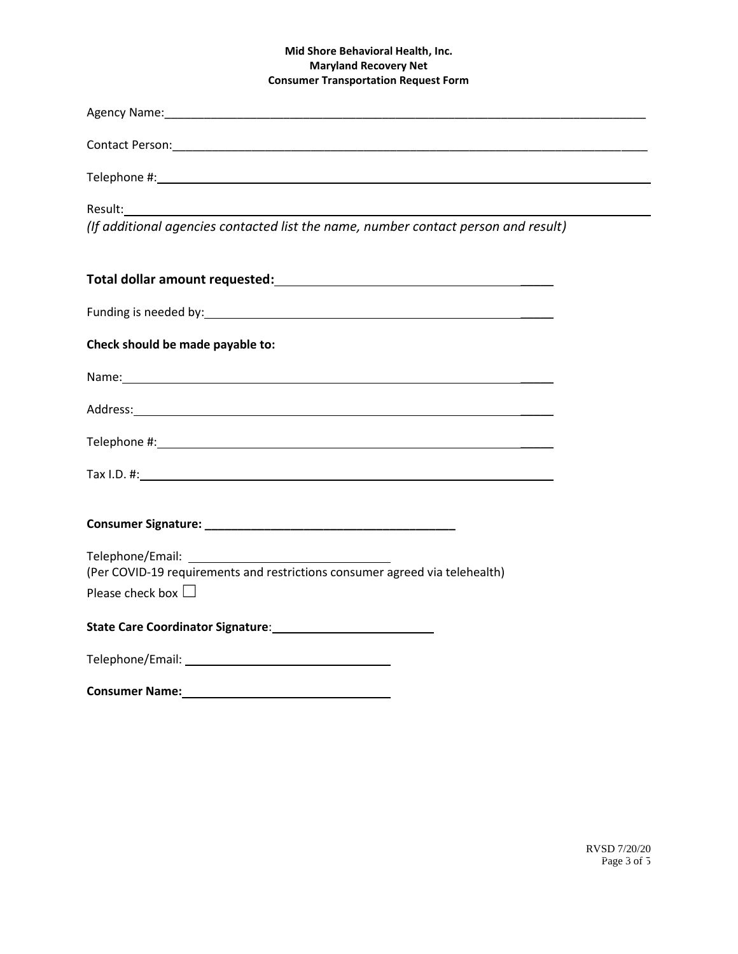| Agency Name: 1988 Committee Committee Committee Committee Committee Committee Committee Committee Committee Co                                                                                                                |
|-------------------------------------------------------------------------------------------------------------------------------------------------------------------------------------------------------------------------------|
|                                                                                                                                                                                                                               |
|                                                                                                                                                                                                                               |
| Result:<br>(If additional agencies contacted list the name, number contact person and result)                                                                                                                                 |
|                                                                                                                                                                                                                               |
|                                                                                                                                                                                                                               |
|                                                                                                                                                                                                                               |
| Check should be made payable to:                                                                                                                                                                                              |
| Name: Name: Name: Name: Name: Name: Name: Name: Name: Name: Name: Name: Name: Name: Name: Name: Name: Name: Name: Name: Name: Name: Name: Name: Name: Name: Name: Name: Name: Name: Name: Name: Name: Name: Name: Name: Name: |
|                                                                                                                                                                                                                               |
|                                                                                                                                                                                                                               |
|                                                                                                                                                                                                                               |
|                                                                                                                                                                                                                               |
|                                                                                                                                                                                                                               |
| (Per COVID-19 requirements and restrictions consumer agreed via telehealth)                                                                                                                                                   |
| Please check box $\square$                                                                                                                                                                                                    |
|                                                                                                                                                                                                                               |
|                                                                                                                                                                                                                               |
| <b>Consumer Name:</b><br><u> 1989 - Johann Barnett, fransk politiker (d. 1989)</u>                                                                                                                                            |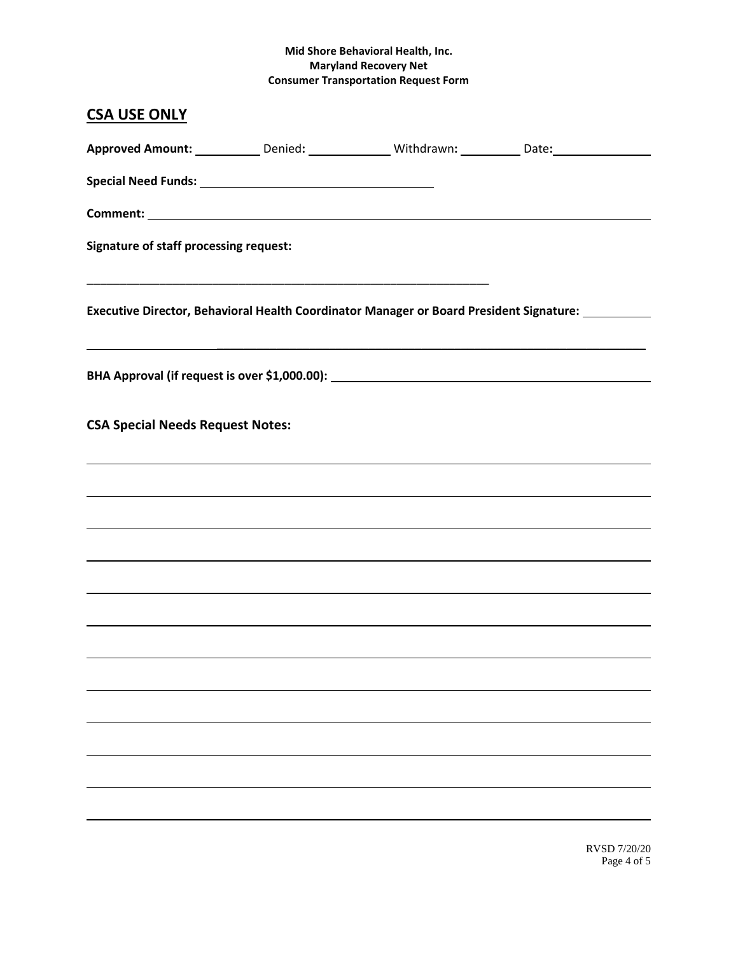| <b>CSA USE ONLY</b>                           |  |                                                                                                     |
|-----------------------------------------------|--|-----------------------------------------------------------------------------------------------------|
|                                               |  | Approved Amount: ____________Denied: _______________Withdrawn: ___________Date: ___________________ |
|                                               |  |                                                                                                     |
|                                               |  |                                                                                                     |
| <b>Signature of staff processing request:</b> |  |                                                                                                     |
|                                               |  | Executive Director, Behavioral Health Coordinator Manager or Board President Signature:             |
|                                               |  |                                                                                                     |
| <b>CSA Special Needs Request Notes:</b>       |  |                                                                                                     |
|                                               |  |                                                                                                     |
|                                               |  |                                                                                                     |
|                                               |  |                                                                                                     |
|                                               |  |                                                                                                     |
|                                               |  |                                                                                                     |
|                                               |  |                                                                                                     |
|                                               |  |                                                                                                     |
|                                               |  |                                                                                                     |
|                                               |  |                                                                                                     |
|                                               |  |                                                                                                     |
|                                               |  |                                                                                                     |
|                                               |  |                                                                                                     |